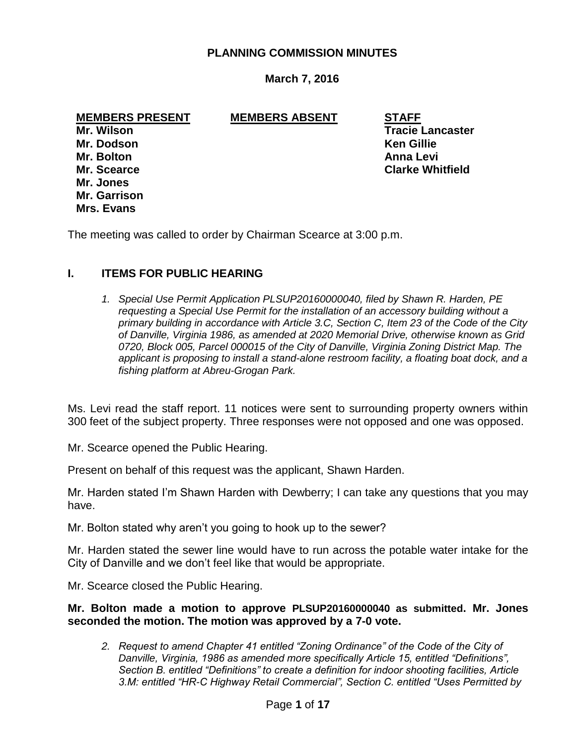#### **PLANNING COMMISSION MINUTES**

## **March 7, 2016**

**MEMBERS PRESENT MEMBERS ABSENT STAFF**

**Mr. Dodson Ken Gillie Mr. Bolton Anna Levi Mr. Jones Mr. Garrison Mrs. Evans**

**Mr. Wilson Tracie Lancaster Mr. Scearce Clarke Whitfield**

The meeting was called to order by Chairman Scearce at 3:00 p.m.

## **I. ITEMS FOR PUBLIC HEARING**

*1. Special Use Permit Application PLSUP20160000040, filed by Shawn R. Harden, PE requesting a Special Use Permit for the installation of an accessory building without a primary building in accordance with Article 3.C, Section C, Item 23 of the Code of the City of Danville, Virginia 1986, as amended at 2020 Memorial Drive, otherwise known as Grid 0720, Block 005, Parcel 000015 of the City of Danville, Virginia Zoning District Map. The applicant is proposing to install a stand-alone restroom facility, a floating boat dock, and a fishing platform at Abreu-Grogan Park.*

Ms. Levi read the staff report. 11 notices were sent to surrounding property owners within 300 feet of the subject property. Three responses were not opposed and one was opposed.

Mr. Scearce opened the Public Hearing.

Present on behalf of this request was the applicant, Shawn Harden.

Mr. Harden stated I'm Shawn Harden with Dewberry; I can take any questions that you may have.

Mr. Bolton stated why aren't you going to hook up to the sewer?

Mr. Harden stated the sewer line would have to run across the potable water intake for the City of Danville and we don't feel like that would be appropriate.

Mr. Scearce closed the Public Hearing.

**Mr. Bolton made a motion to approve PLSUP20160000040 as submitted. Mr. Jones seconded the motion. The motion was approved by a 7-0 vote.**

*2. Request to amend Chapter 41 entitled "Zoning Ordinance" of the Code of the City of Danville, Virginia, 1986 as amended more specifically Article 15, entitled "Definitions", Section B. entitled "Definitions" to create a definition for indoor shooting facilities, Article 3.M: entitled "HR-C Highway Retail Commercial", Section C. entitled "Uses Permitted by*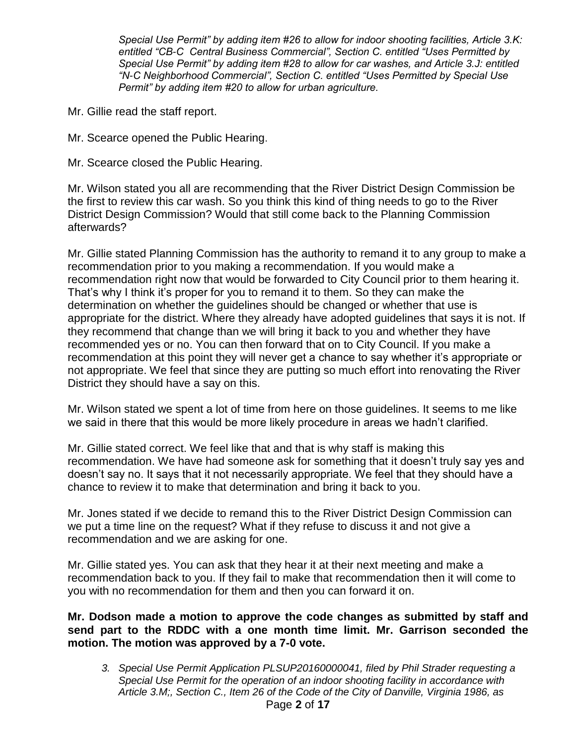*Special Use Permit" by adding item #26 to allow for indoor shooting facilities, Article 3.K: entitled "CB-C Central Business Commercial", Section C. entitled "Uses Permitted by Special Use Permit" by adding item #28 to allow for car washes, and Article 3.J: entitled "N-C Neighborhood Commercial", Section C. entitled "Uses Permitted by Special Use Permit" by adding item #20 to allow for urban agriculture.*

- Mr. Gillie read the staff report.
- Mr. Scearce opened the Public Hearing.
- Mr. Scearce closed the Public Hearing.

Mr. Wilson stated you all are recommending that the River District Design Commission be the first to review this car wash. So you think this kind of thing needs to go to the River District Design Commission? Would that still come back to the Planning Commission afterwards?

Mr. Gillie stated Planning Commission has the authority to remand it to any group to make a recommendation prior to you making a recommendation. If you would make a recommendation right now that would be forwarded to City Council prior to them hearing it. That's why I think it's proper for you to remand it to them. So they can make the determination on whether the guidelines should be changed or whether that use is appropriate for the district. Where they already have adopted guidelines that says it is not. If they recommend that change than we will bring it back to you and whether they have recommended yes or no. You can then forward that on to City Council. If you make a recommendation at this point they will never get a chance to say whether it's appropriate or not appropriate. We feel that since they are putting so much effort into renovating the River District they should have a say on this.

Mr. Wilson stated we spent a lot of time from here on those guidelines. It seems to me like we said in there that this would be more likely procedure in areas we hadn't clarified.

Mr. Gillie stated correct. We feel like that and that is why staff is making this recommendation. We have had someone ask for something that it doesn't truly say yes and doesn't say no. It says that it not necessarily appropriate. We feel that they should have a chance to review it to make that determination and bring it back to you.

Mr. Jones stated if we decide to remand this to the River District Design Commission can we put a time line on the request? What if they refuse to discuss it and not give a recommendation and we are asking for one.

Mr. Gillie stated yes. You can ask that they hear it at their next meeting and make a recommendation back to you. If they fail to make that recommendation then it will come to you with no recommendation for them and then you can forward it on.

**Mr. Dodson made a motion to approve the code changes as submitted by staff and send part to the RDDC with a one month time limit. Mr. Garrison seconded the motion. The motion was approved by a 7-0 vote.**

*3. Special Use Permit Application PLSUP20160000041, filed by Phil Strader requesting a Special Use Permit for the operation of an indoor shooting facility in accordance with Article 3.M;, Section C., Item 26 of the Code of the City of Danville, Virginia 1986, as*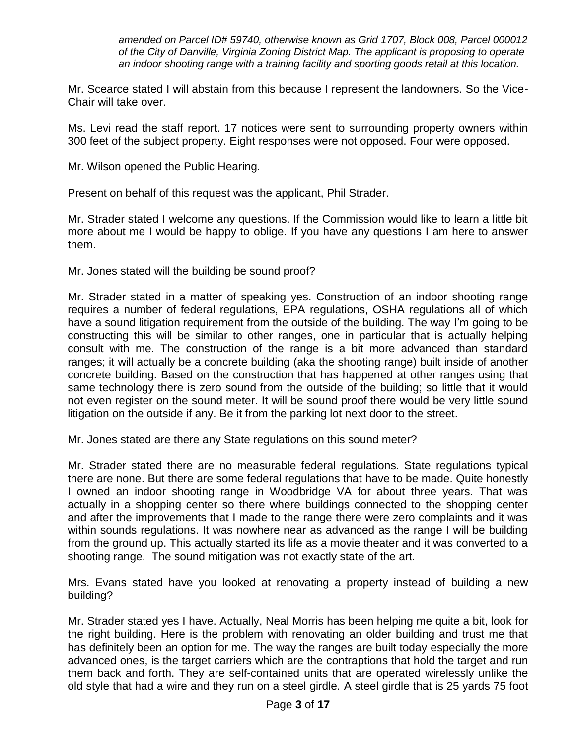*amended on Parcel ID# 59740, otherwise known as Grid 1707, Block 008, Parcel 000012 of the City of Danville, Virginia Zoning District Map. The applicant is proposing to operate an indoor shooting range with a training facility and sporting goods retail at this location.* 

Mr. Scearce stated I will abstain from this because I represent the landowners. So the Vice-Chair will take over.

Ms. Levi read the staff report. 17 notices were sent to surrounding property owners within 300 feet of the subject property. Eight responses were not opposed. Four were opposed.

Mr. Wilson opened the Public Hearing.

Present on behalf of this request was the applicant, Phil Strader.

Mr. Strader stated I welcome any questions. If the Commission would like to learn a little bit more about me I would be happy to oblige. If you have any questions I am here to answer them.

Mr. Jones stated will the building be sound proof?

Mr. Strader stated in a matter of speaking yes. Construction of an indoor shooting range requires a number of federal regulations, EPA regulations, OSHA regulations all of which have a sound litigation requirement from the outside of the building. The way I'm going to be constructing this will be similar to other ranges, one in particular that is actually helping consult with me. The construction of the range is a bit more advanced than standard ranges; it will actually be a concrete building (aka the shooting range) built inside of another concrete building. Based on the construction that has happened at other ranges using that same technology there is zero sound from the outside of the building; so little that it would not even register on the sound meter. It will be sound proof there would be very little sound litigation on the outside if any. Be it from the parking lot next door to the street.

Mr. Jones stated are there any State regulations on this sound meter?

Mr. Strader stated there are no measurable federal regulations. State regulations typical there are none. But there are some federal regulations that have to be made. Quite honestly I owned an indoor shooting range in Woodbridge VA for about three years. That was actually in a shopping center so there where buildings connected to the shopping center and after the improvements that I made to the range there were zero complaints and it was within sounds regulations. It was nowhere near as advanced as the range I will be building from the ground up. This actually started its life as a movie theater and it was converted to a shooting range. The sound mitigation was not exactly state of the art.

Mrs. Evans stated have you looked at renovating a property instead of building a new building?

Mr. Strader stated yes I have. Actually, Neal Morris has been helping me quite a bit, look for the right building. Here is the problem with renovating an older building and trust me that has definitely been an option for me. The way the ranges are built today especially the more advanced ones, is the target carriers which are the contraptions that hold the target and run them back and forth. They are self-contained units that are operated wirelessly unlike the old style that had a wire and they run on a steel girdle. A steel girdle that is 25 yards 75 foot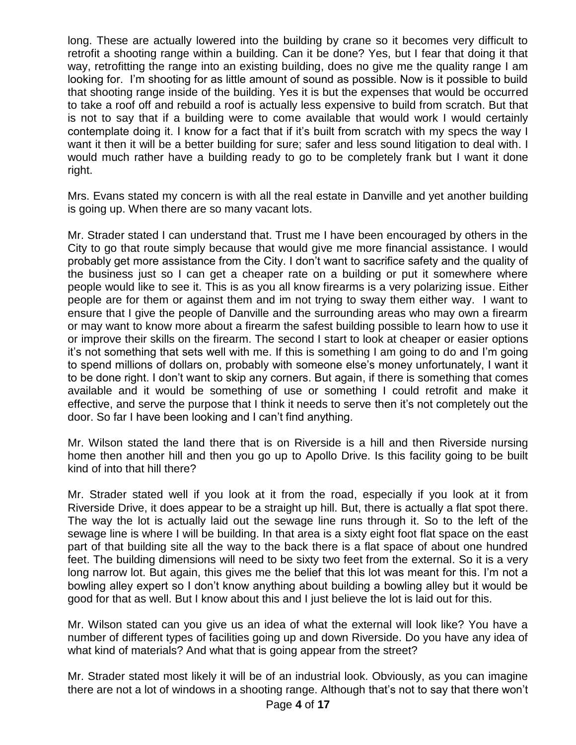long. These are actually lowered into the building by crane so it becomes very difficult to retrofit a shooting range within a building. Can it be done? Yes, but I fear that doing it that way, retrofitting the range into an existing building, does no give me the quality range I am looking for. I'm shooting for as little amount of sound as possible. Now is it possible to build that shooting range inside of the building. Yes it is but the expenses that would be occurred to take a roof off and rebuild a roof is actually less expensive to build from scratch. But that is not to say that if a building were to come available that would work I would certainly contemplate doing it. I know for a fact that if it's built from scratch with my specs the way I want it then it will be a better building for sure; safer and less sound litigation to deal with. I would much rather have a building ready to go to be completely frank but I want it done right.

Mrs. Evans stated my concern is with all the real estate in Danville and yet another building is going up. When there are so many vacant lots.

Mr. Strader stated I can understand that. Trust me I have been encouraged by others in the City to go that route simply because that would give me more financial assistance. I would probably get more assistance from the City. I don't want to sacrifice safety and the quality of the business just so I can get a cheaper rate on a building or put it somewhere where people would like to see it. This is as you all know firearms is a very polarizing issue. Either people are for them or against them and im not trying to sway them either way. I want to ensure that I give the people of Danville and the surrounding areas who may own a firearm or may want to know more about a firearm the safest building possible to learn how to use it or improve their skills on the firearm. The second I start to look at cheaper or easier options it's not something that sets well with me. If this is something I am going to do and I'm going to spend millions of dollars on, probably with someone else's money unfortunately, I want it to be done right. I don't want to skip any corners. But again, if there is something that comes available and it would be something of use or something I could retrofit and make it effective, and serve the purpose that I think it needs to serve then it's not completely out the door. So far I have been looking and I can't find anything.

Mr. Wilson stated the land there that is on Riverside is a hill and then Riverside nursing home then another hill and then you go up to Apollo Drive. Is this facility going to be built kind of into that hill there?

Mr. Strader stated well if you look at it from the road, especially if you look at it from Riverside Drive, it does appear to be a straight up hill. But, there is actually a flat spot there. The way the lot is actually laid out the sewage line runs through it. So to the left of the sewage line is where I will be building. In that area is a sixty eight foot flat space on the east part of that building site all the way to the back there is a flat space of about one hundred feet. The building dimensions will need to be sixty two feet from the external. So it is a very long narrow lot. But again, this gives me the belief that this lot was meant for this. I'm not a bowling alley expert so I don't know anything about building a bowling alley but it would be good for that as well. But I know about this and I just believe the lot is laid out for this.

Mr. Wilson stated can you give us an idea of what the external will look like? You have a number of different types of facilities going up and down Riverside. Do you have any idea of what kind of materials? And what that is going appear from the street?

Mr. Strader stated most likely it will be of an industrial look. Obviously, as you can imagine there are not a lot of windows in a shooting range. Although that's not to say that there won't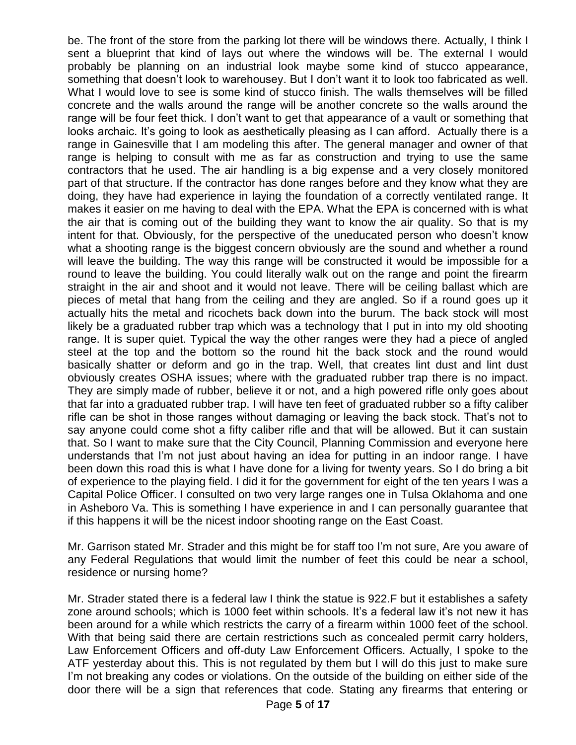be. The front of the store from the parking lot there will be windows there. Actually, I think I sent a blueprint that kind of lays out where the windows will be. The external I would probably be planning on an industrial look maybe some kind of stucco appearance, something that doesn't look to warehousey. But I don't want it to look too fabricated as well. What I would love to see is some kind of stucco finish. The walls themselves will be filled concrete and the walls around the range will be another concrete so the walls around the range will be four feet thick. I don't want to get that appearance of a vault or something that looks archaic. It's going to look as aesthetically pleasing as I can afford. Actually there is a range in Gainesville that I am modeling this after. The general manager and owner of that range is helping to consult with me as far as construction and trying to use the same contractors that he used. The air handling is a big expense and a very closely monitored part of that structure. If the contractor has done ranges before and they know what they are doing, they have had experience in laying the foundation of a correctly ventilated range. It makes it easier on me having to deal with the EPA. What the EPA is concerned with is what the air that is coming out of the building they want to know the air quality. So that is my intent for that. Obviously, for the perspective of the uneducated person who doesn't know what a shooting range is the biggest concern obviously are the sound and whether a round will leave the building. The way this range will be constructed it would be impossible for a round to leave the building. You could literally walk out on the range and point the firearm straight in the air and shoot and it would not leave. There will be ceiling ballast which are pieces of metal that hang from the ceiling and they are angled. So if a round goes up it actually hits the metal and ricochets back down into the burum. The back stock will most likely be a graduated rubber trap which was a technology that I put in into my old shooting range. It is super quiet. Typical the way the other ranges were they had a piece of angled steel at the top and the bottom so the round hit the back stock and the round would basically shatter or deform and go in the trap. Well, that creates lint dust and lint dust obviously creates OSHA issues; where with the graduated rubber trap there is no impact. They are simply made of rubber, believe it or not, and a high powered rifle only goes about that far into a graduated rubber trap. I will have ten feet of graduated rubber so a fifty caliber rifle can be shot in those ranges without damaging or leaving the back stock. That's not to say anyone could come shot a fifty caliber rifle and that will be allowed. But it can sustain that. So I want to make sure that the City Council, Planning Commission and everyone here understands that I'm not just about having an idea for putting in an indoor range. I have been down this road this is what I have done for a living for twenty years. So I do bring a bit of experience to the playing field. I did it for the government for eight of the ten years I was a Capital Police Officer. I consulted on two very large ranges one in Tulsa Oklahoma and one in Asheboro Va. This is something I have experience in and I can personally guarantee that if this happens it will be the nicest indoor shooting range on the East Coast.

Mr. Garrison stated Mr. Strader and this might be for staff too I'm not sure, Are you aware of any Federal Regulations that would limit the number of feet this could be near a school, residence or nursing home?

Mr. Strader stated there is a federal law I think the statue is 922.F but it establishes a safety zone around schools; which is 1000 feet within schools. It's a federal law it's not new it has been around for a while which restricts the carry of a firearm within 1000 feet of the school. With that being said there are certain restrictions such as concealed permit carry holders, Law Enforcement Officers and off-duty Law Enforcement Officers. Actually, I spoke to the ATF yesterday about this. This is not regulated by them but I will do this just to make sure I'm not breaking any codes or violations. On the outside of the building on either side of the door there will be a sign that references that code. Stating any firearms that entering or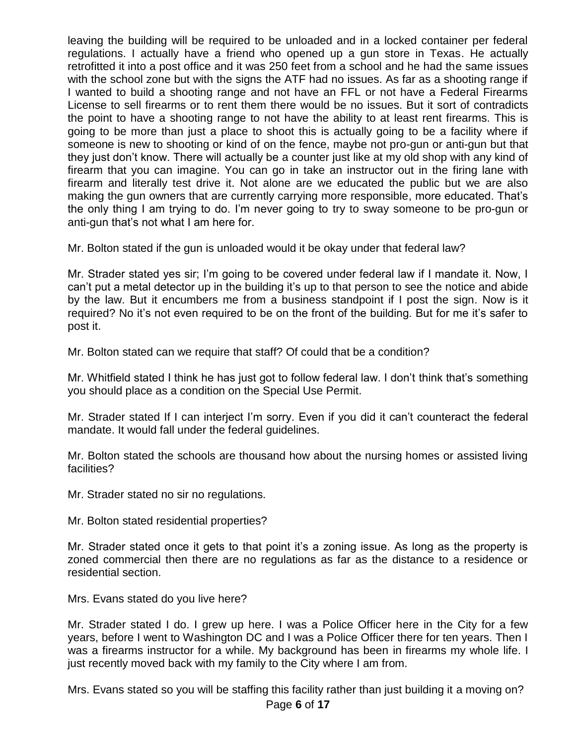leaving the building will be required to be unloaded and in a locked container per federal regulations. I actually have a friend who opened up a gun store in Texas. He actually retrofitted it into a post office and it was 250 feet from a school and he had the same issues with the school zone but with the signs the ATF had no issues. As far as a shooting range if I wanted to build a shooting range and not have an FFL or not have a Federal Firearms License to sell firearms or to rent them there would be no issues. But it sort of contradicts the point to have a shooting range to not have the ability to at least rent firearms. This is going to be more than just a place to shoot this is actually going to be a facility where if someone is new to shooting or kind of on the fence, maybe not pro-gun or anti-gun but that they just don't know. There will actually be a counter just like at my old shop with any kind of firearm that you can imagine. You can go in take an instructor out in the firing lane with firearm and literally test drive it. Not alone are we educated the public but we are also making the gun owners that are currently carrying more responsible, more educated. That's the only thing I am trying to do. I'm never going to try to sway someone to be pro-gun or anti-gun that's not what I am here for.

Mr. Bolton stated if the gun is unloaded would it be okay under that federal law?

Mr. Strader stated yes sir; I'm going to be covered under federal law if I mandate it. Now, I can't put a metal detector up in the building it's up to that person to see the notice and abide by the law. But it encumbers me from a business standpoint if I post the sign. Now is it required? No it's not even required to be on the front of the building. But for me it's safer to post it.

Mr. Bolton stated can we require that staff? Of could that be a condition?

Mr. Whitfield stated I think he has just got to follow federal law. I don't think that's something you should place as a condition on the Special Use Permit.

Mr. Strader stated If I can interject I'm sorry. Even if you did it can't counteract the federal mandate. It would fall under the federal guidelines.

Mr. Bolton stated the schools are thousand how about the nursing homes or assisted living facilities?

Mr. Strader stated no sir no regulations.

Mr. Bolton stated residential properties?

Mr. Strader stated once it gets to that point it's a zoning issue. As long as the property is zoned commercial then there are no regulations as far as the distance to a residence or residential section.

Mrs. Evans stated do you live here?

Mr. Strader stated I do. I grew up here. I was a Police Officer here in the City for a few years, before I went to Washington DC and I was a Police Officer there for ten years. Then I was a firearms instructor for a while. My background has been in firearms my whole life. I just recently moved back with my family to the City where I am from.

Mrs. Evans stated so you will be staffing this facility rather than just building it a moving on?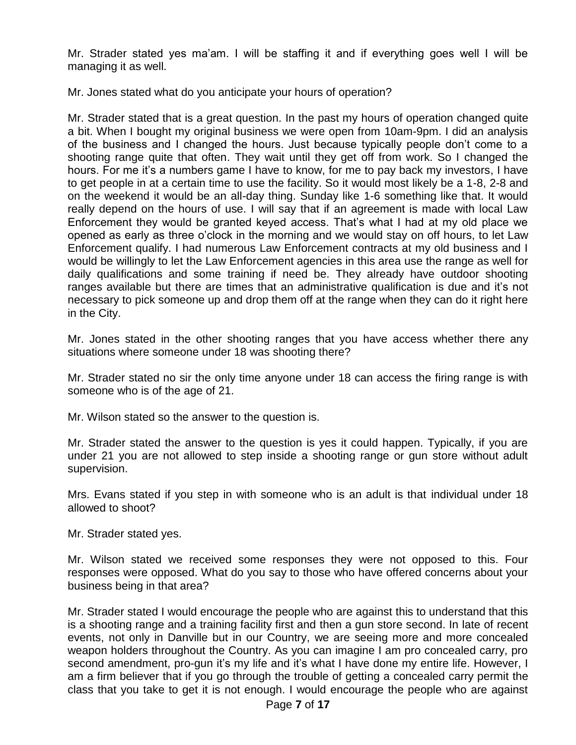Mr. Strader stated yes ma'am. I will be staffing it and if everything goes well I will be managing it as well.

Mr. Jones stated what do you anticipate your hours of operation?

Mr. Strader stated that is a great question. In the past my hours of operation changed quite a bit. When I bought my original business we were open from 10am-9pm. I did an analysis of the business and I changed the hours. Just because typically people don't come to a shooting range quite that often. They wait until they get off from work. So I changed the hours. For me it's a numbers game I have to know, for me to pay back my investors, I have to get people in at a certain time to use the facility. So it would most likely be a 1-8, 2-8 and on the weekend it would be an all-day thing. Sunday like 1-6 something like that. It would really depend on the hours of use. I will say that if an agreement is made with local Law Enforcement they would be granted keyed access. That's what I had at my old place we opened as early as three o'clock in the morning and we would stay on off hours, to let Law Enforcement qualify. I had numerous Law Enforcement contracts at my old business and I would be willingly to let the Law Enforcement agencies in this area use the range as well for daily qualifications and some training if need be. They already have outdoor shooting ranges available but there are times that an administrative qualification is due and it's not necessary to pick someone up and drop them off at the range when they can do it right here in the City.

Mr. Jones stated in the other shooting ranges that you have access whether there any situations where someone under 18 was shooting there?

Mr. Strader stated no sir the only time anyone under 18 can access the firing range is with someone who is of the age of 21.

Mr. Wilson stated so the answer to the question is.

Mr. Strader stated the answer to the question is yes it could happen. Typically, if you are under 21 you are not allowed to step inside a shooting range or gun store without adult supervision.

Mrs. Evans stated if you step in with someone who is an adult is that individual under 18 allowed to shoot?

Mr. Strader stated yes.

Mr. Wilson stated we received some responses they were not opposed to this. Four responses were opposed. What do you say to those who have offered concerns about your business being in that area?

Mr. Strader stated I would encourage the people who are against this to understand that this is a shooting range and a training facility first and then a gun store second. In late of recent events, not only in Danville but in our Country, we are seeing more and more concealed weapon holders throughout the Country. As you can imagine I am pro concealed carry, pro second amendment, pro-gun it's my life and it's what I have done my entire life. However, I am a firm believer that if you go through the trouble of getting a concealed carry permit the class that you take to get it is not enough. I would encourage the people who are against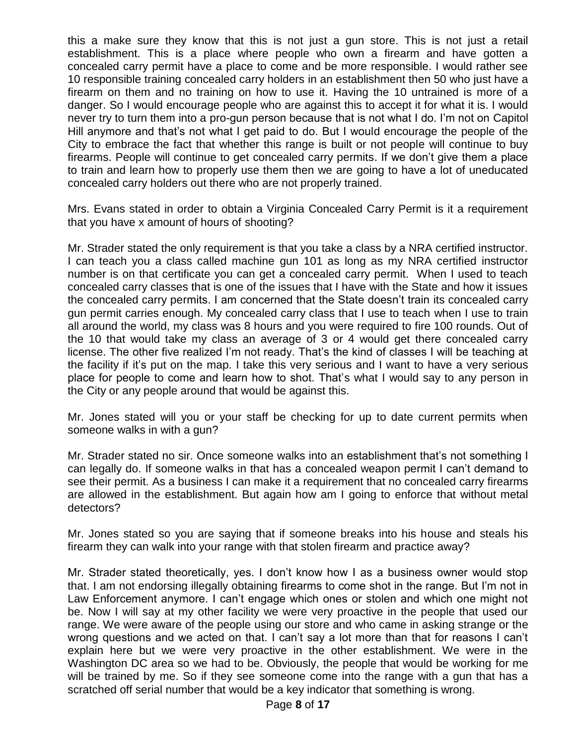this a make sure they know that this is not just a gun store. This is not just a retail establishment. This is a place where people who own a firearm and have gotten a concealed carry permit have a place to come and be more responsible. I would rather see 10 responsible training concealed carry holders in an establishment then 50 who just have a firearm on them and no training on how to use it. Having the 10 untrained is more of a danger. So I would encourage people who are against this to accept it for what it is. I would never try to turn them into a pro-gun person because that is not what I do. I'm not on Capitol Hill anymore and that's not what I get paid to do. But I would encourage the people of the City to embrace the fact that whether this range is built or not people will continue to buy firearms. People will continue to get concealed carry permits. If we don't give them a place to train and learn how to properly use them then we are going to have a lot of uneducated concealed carry holders out there who are not properly trained.

Mrs. Evans stated in order to obtain a Virginia Concealed Carry Permit is it a requirement that you have x amount of hours of shooting?

Mr. Strader stated the only requirement is that you take a class by a NRA certified instructor. I can teach you a class called machine gun 101 as long as my NRA certified instructor number is on that certificate you can get a concealed carry permit. When I used to teach concealed carry classes that is one of the issues that I have with the State and how it issues the concealed carry permits. I am concerned that the State doesn't train its concealed carry gun permit carries enough. My concealed carry class that I use to teach when I use to train all around the world, my class was 8 hours and you were required to fire 100 rounds. Out of the 10 that would take my class an average of 3 or 4 would get there concealed carry license. The other five realized I'm not ready. That's the kind of classes I will be teaching at the facility if it's put on the map. I take this very serious and I want to have a very serious place for people to come and learn how to shot. That's what I would say to any person in the City or any people around that would be against this.

Mr. Jones stated will you or your staff be checking for up to date current permits when someone walks in with a gun?

Mr. Strader stated no sir. Once someone walks into an establishment that's not something I can legally do. If someone walks in that has a concealed weapon permit I can't demand to see their permit. As a business I can make it a requirement that no concealed carry firearms are allowed in the establishment. But again how am I going to enforce that without metal detectors?

Mr. Jones stated so you are saying that if someone breaks into his house and steals his firearm they can walk into your range with that stolen firearm and practice away?

Mr. Strader stated theoretically, yes. I don't know how I as a business owner would stop that. I am not endorsing illegally obtaining firearms to come shot in the range. But I'm not in Law Enforcement anymore. I can't engage which ones or stolen and which one might not be. Now I will say at my other facility we were very proactive in the people that used our range. We were aware of the people using our store and who came in asking strange or the wrong questions and we acted on that. I can't say a lot more than that for reasons I can't explain here but we were very proactive in the other establishment. We were in the Washington DC area so we had to be. Obviously, the people that would be working for me will be trained by me. So if they see someone come into the range with a gun that has a scratched off serial number that would be a key indicator that something is wrong.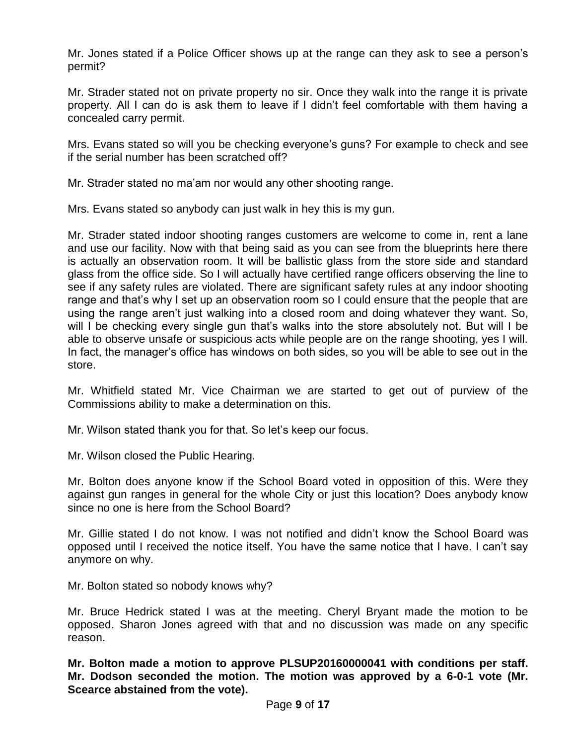Mr. Jones stated if a Police Officer shows up at the range can they ask to see a person's permit?

Mr. Strader stated not on private property no sir. Once they walk into the range it is private property. All I can do is ask them to leave if I didn't feel comfortable with them having a concealed carry permit.

Mrs. Evans stated so will you be checking everyone's guns? For example to check and see if the serial number has been scratched off?

Mr. Strader stated no ma'am nor would any other shooting range.

Mrs. Evans stated so anybody can just walk in hey this is my gun.

Mr. Strader stated indoor shooting ranges customers are welcome to come in, rent a lane and use our facility. Now with that being said as you can see from the blueprints here there is actually an observation room. It will be ballistic glass from the store side and standard glass from the office side. So I will actually have certified range officers observing the line to see if any safety rules are violated. There are significant safety rules at any indoor shooting range and that's why I set up an observation room so I could ensure that the people that are using the range aren't just walking into a closed room and doing whatever they want. So, will I be checking every single gun that's walks into the store absolutely not. But will I be able to observe unsafe or suspicious acts while people are on the range shooting, yes I will. In fact, the manager's office has windows on both sides, so you will be able to see out in the store.

Mr. Whitfield stated Mr. Vice Chairman we are started to get out of purview of the Commissions ability to make a determination on this.

Mr. Wilson stated thank you for that. So let's keep our focus.

Mr. Wilson closed the Public Hearing.

Mr. Bolton does anyone know if the School Board voted in opposition of this. Were they against gun ranges in general for the whole City or just this location? Does anybody know since no one is here from the School Board?

Mr. Gillie stated I do not know. I was not notified and didn't know the School Board was opposed until I received the notice itself. You have the same notice that I have. I can't say anymore on why.

Mr. Bolton stated so nobody knows why?

Mr. Bruce Hedrick stated I was at the meeting. Cheryl Bryant made the motion to be opposed. Sharon Jones agreed with that and no discussion was made on any specific reason.

**Mr. Bolton made a motion to approve PLSUP20160000041 with conditions per staff. Mr. Dodson seconded the motion. The motion was approved by a 6-0-1 vote (Mr. Scearce abstained from the vote).**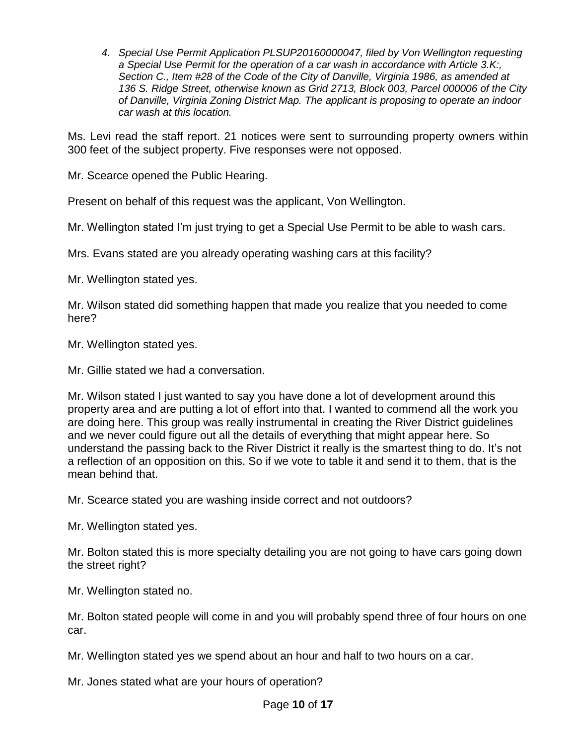*4. Special Use Permit Application PLSUP20160000047, filed by Von Wellington requesting a Special Use Permit for the operation of a car wash in accordance with Article 3.K:, Section C., Item #28 of the Code of the City of Danville, Virginia 1986, as amended at 136 S. Ridge Street, otherwise known as Grid 2713, Block 003, Parcel 000006 of the City of Danville, Virginia Zoning District Map. The applicant is proposing to operate an indoor car wash at this location.* 

Ms. Levi read the staff report. 21 notices were sent to surrounding property owners within 300 feet of the subject property. Five responses were not opposed.

Mr. Scearce opened the Public Hearing.

Present on behalf of this request was the applicant, Von Wellington.

Mr. Wellington stated I'm just trying to get a Special Use Permit to be able to wash cars.

Mrs. Evans stated are you already operating washing cars at this facility?

Mr. Wellington stated yes.

Mr. Wilson stated did something happen that made you realize that you needed to come here?

Mr. Wellington stated yes.

Mr. Gillie stated we had a conversation.

Mr. Wilson stated I just wanted to say you have done a lot of development around this property area and are putting a lot of effort into that. I wanted to commend all the work you are doing here. This group was really instrumental in creating the River District guidelines and we never could figure out all the details of everything that might appear here. So understand the passing back to the River District it really is the smartest thing to do. It's not a reflection of an opposition on this. So if we vote to table it and send it to them, that is the mean behind that.

Mr. Scearce stated you are washing inside correct and not outdoors?

Mr. Wellington stated yes.

Mr. Bolton stated this is more specialty detailing you are not going to have cars going down the street right?

Mr. Wellington stated no.

Mr. Bolton stated people will come in and you will probably spend three of four hours on one car.

Mr. Wellington stated yes we spend about an hour and half to two hours on a car.

Mr. Jones stated what are your hours of operation?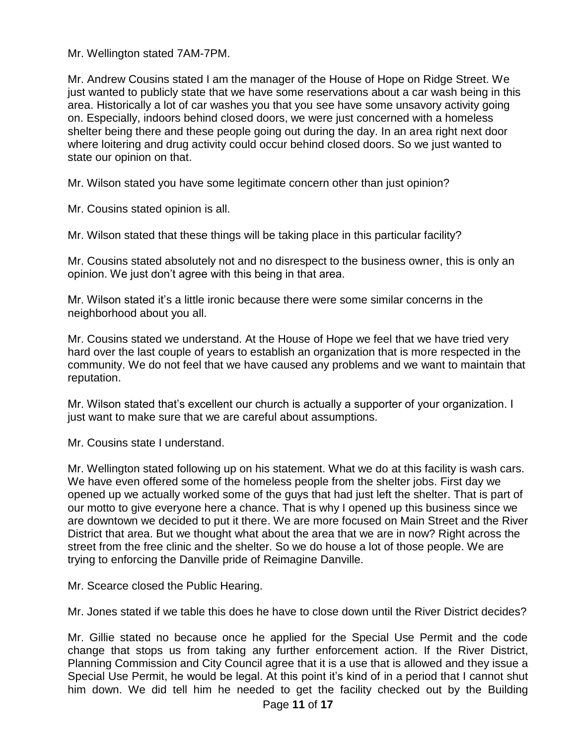Mr. Wellington stated 7AM-7PM.

Mr. Andrew Cousins stated I am the manager of the House of Hope on Ridge Street. We just wanted to publicly state that we have some reservations about a car wash being in this area. Historically a lot of car washes you that you see have some unsavory activity going on. Especially, indoors behind closed doors, we were just concerned with a homeless shelter being there and these people going out during the day. In an area right next door where loitering and drug activity could occur behind closed doors. So we just wanted to state our opinion on that.

Mr. Wilson stated you have some legitimate concern other than just opinion?

Mr. Cousins stated opinion is all.

Mr. Wilson stated that these things will be taking place in this particular facility?

Mr. Cousins stated absolutely not and no disrespect to the business owner, this is only an opinion. We just don't agree with this being in that area.

Mr. Wilson stated it's a little ironic because there were some similar concerns in the neighborhood about you all.

Mr. Cousins stated we understand. At the House of Hope we feel that we have tried very hard over the last couple of years to establish an organization that is more respected in the community. We do not feel that we have caused any problems and we want to maintain that reputation.

Mr. Wilson stated that's excellent our church is actually a supporter of your organization. I just want to make sure that we are careful about assumptions.

Mr. Cousins state I understand.

Mr. Wellington stated following up on his statement. What we do at this facility is wash cars. We have even offered some of the homeless people from the shelter jobs. First day we opened up we actually worked some of the guys that had just left the shelter. That is part of our motto to give everyone here a chance. That is why I opened up this business since we are downtown we decided to put it there. We are more focused on Main Street and the River District that area. But we thought what about the area that we are in now? Right across the street from the free clinic and the shelter. So we do house a lot of those people. We are trying to enforcing the Danville pride of Reimagine Danville.

Mr. Scearce closed the Public Hearing.

Mr. Jones stated if we table this does he have to close down until the River District decides?

Mr. Gillie stated no because once he applied for the Special Use Permit and the code change that stops us from taking any further enforcement action. If the River District, Planning Commission and City Council agree that it is a use that is allowed and they issue a Special Use Permit, he would be legal. At this point it's kind of in a period that I cannot shut him down. We did tell him he needed to get the facility checked out by the Building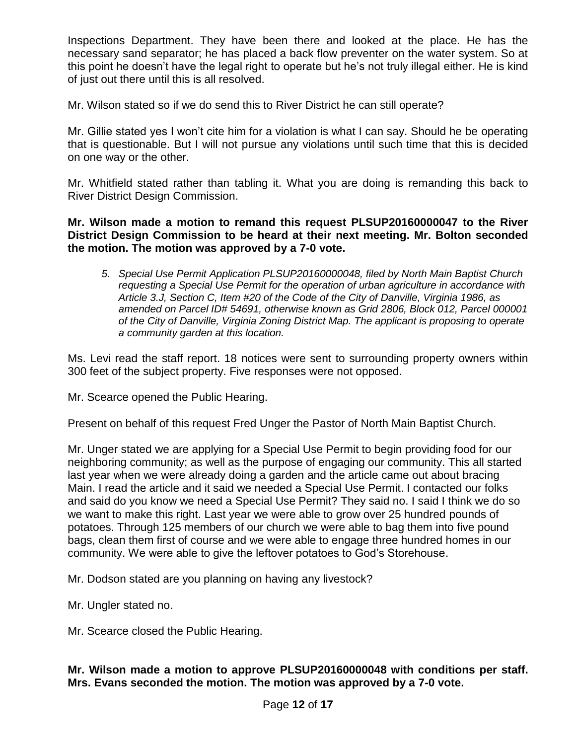Inspections Department. They have been there and looked at the place. He has the necessary sand separator; he has placed a back flow preventer on the water system. So at this point he doesn't have the legal right to operate but he's not truly illegal either. He is kind of just out there until this is all resolved.

Mr. Wilson stated so if we do send this to River District he can still operate?

Mr. Gillie stated yes I won't cite him for a violation is what I can say. Should he be operating that is questionable. But I will not pursue any violations until such time that this is decided on one way or the other.

Mr. Whitfield stated rather than tabling it. What you are doing is remanding this back to River District Design Commission.

**Mr. Wilson made a motion to remand this request PLSUP20160000047 to the River District Design Commission to be heard at their next meeting. Mr. Bolton seconded the motion. The motion was approved by a 7-0 vote.**

*5. Special Use Permit Application PLSUP20160000048, filed by North Main Baptist Church requesting a Special Use Permit for the operation of urban agriculture in accordance with Article 3.J, Section C, Item #20 of the Code of the City of Danville, Virginia 1986, as amended on Parcel ID# 54691, otherwise known as Grid 2806, Block 012, Parcel 000001 of the City of Danville, Virginia Zoning District Map. The applicant is proposing to operate a community garden at this location.* 

Ms. Levi read the staff report. 18 notices were sent to surrounding property owners within 300 feet of the subject property. Five responses were not opposed.

Mr. Scearce opened the Public Hearing.

Present on behalf of this request Fred Unger the Pastor of North Main Baptist Church.

Mr. Unger stated we are applying for a Special Use Permit to begin providing food for our neighboring community; as well as the purpose of engaging our community. This all started last year when we were already doing a garden and the article came out about bracing Main. I read the article and it said we needed a Special Use Permit. I contacted our folks and said do you know we need a Special Use Permit? They said no. I said I think we do so we want to make this right. Last year we were able to grow over 25 hundred pounds of potatoes. Through 125 members of our church we were able to bag them into five pound bags, clean them first of course and we were able to engage three hundred homes in our community. We were able to give the leftover potatoes to God's Storehouse.

Mr. Dodson stated are you planning on having any livestock?

Mr. Ungler stated no.

Mr. Scearce closed the Public Hearing.

# **Mr. Wilson made a motion to approve PLSUP20160000048 with conditions per staff. Mrs. Evans seconded the motion. The motion was approved by a 7-0 vote.**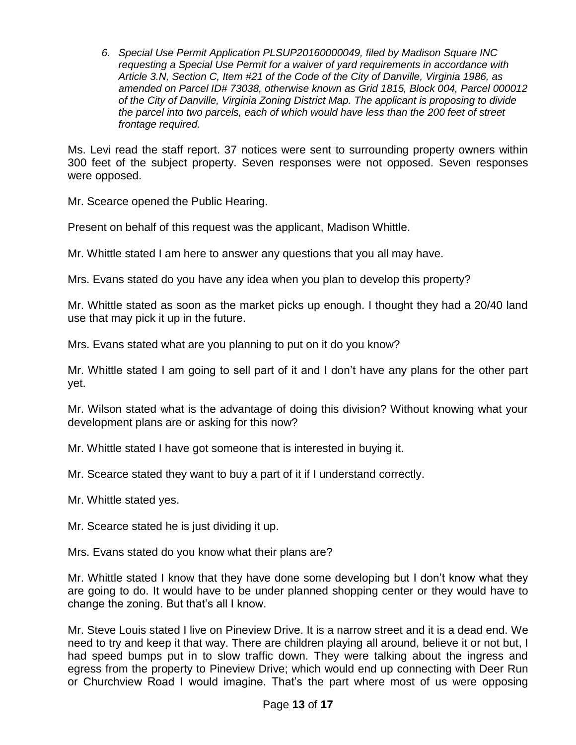*6. Special Use Permit Application PLSUP20160000049, filed by Madison Square INC requesting a Special Use Permit for a waiver of yard requirements in accordance with Article 3.N, Section C, Item #21 of the Code of the City of Danville, Virginia 1986, as amended on Parcel ID# 73038, otherwise known as Grid 1815, Block 004, Parcel 000012 of the City of Danville, Virginia Zoning District Map. The applicant is proposing to divide the parcel into two parcels, each of which would have less than the 200 feet of street frontage required.* 

Ms. Levi read the staff report. 37 notices were sent to surrounding property owners within 300 feet of the subject property. Seven responses were not opposed. Seven responses were opposed.

Mr. Scearce opened the Public Hearing.

Present on behalf of this request was the applicant, Madison Whittle.

Mr. Whittle stated I am here to answer any questions that you all may have.

Mrs. Evans stated do you have any idea when you plan to develop this property?

Mr. Whittle stated as soon as the market picks up enough. I thought they had a 20/40 land use that may pick it up in the future.

Mrs. Evans stated what are you planning to put on it do you know?

Mr. Whittle stated I am going to sell part of it and I don't have any plans for the other part yet.

Mr. Wilson stated what is the advantage of doing this division? Without knowing what your development plans are or asking for this now?

Mr. Whittle stated I have got someone that is interested in buying it.

Mr. Scearce stated they want to buy a part of it if I understand correctly.

Mr. Whittle stated yes.

Mr. Scearce stated he is just dividing it up.

Mrs. Evans stated do you know what their plans are?

Mr. Whittle stated I know that they have done some developing but I don't know what they are going to do. It would have to be under planned shopping center or they would have to change the zoning. But that's all I know.

Mr. Steve Louis stated I live on Pineview Drive. It is a narrow street and it is a dead end. We need to try and keep it that way. There are children playing all around, believe it or not but, I had speed bumps put in to slow traffic down. They were talking about the ingress and egress from the property to Pineview Drive; which would end up connecting with Deer Run or Churchview Road I would imagine. That's the part where most of us were opposing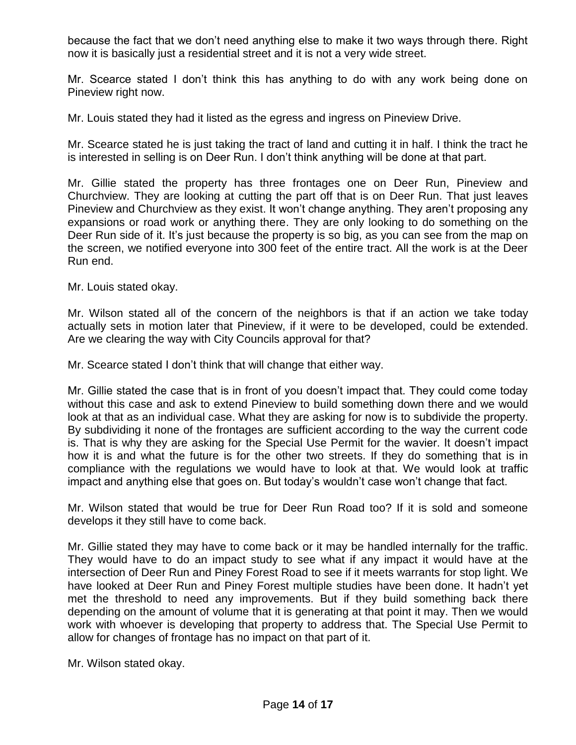because the fact that we don't need anything else to make it two ways through there. Right now it is basically just a residential street and it is not a very wide street.

Mr. Scearce stated I don't think this has anything to do with any work being done on Pineview right now.

Mr. Louis stated they had it listed as the egress and ingress on Pineview Drive.

Mr. Scearce stated he is just taking the tract of land and cutting it in half. I think the tract he is interested in selling is on Deer Run. I don't think anything will be done at that part.

Mr. Gillie stated the property has three frontages one on Deer Run, Pineview and Churchview. They are looking at cutting the part off that is on Deer Run. That just leaves Pineview and Churchview as they exist. It won't change anything. They aren't proposing any expansions or road work or anything there. They are only looking to do something on the Deer Run side of it. It's just because the property is so big, as you can see from the map on the screen, we notified everyone into 300 feet of the entire tract. All the work is at the Deer Run end.

Mr. Louis stated okay.

Mr. Wilson stated all of the concern of the neighbors is that if an action we take today actually sets in motion later that Pineview, if it were to be developed, could be extended. Are we clearing the way with City Councils approval for that?

Mr. Scearce stated I don't think that will change that either way.

Mr. Gillie stated the case that is in front of you doesn't impact that. They could come today without this case and ask to extend Pineview to build something down there and we would look at that as an individual case. What they are asking for now is to subdivide the property. By subdividing it none of the frontages are sufficient according to the way the current code is. That is why they are asking for the Special Use Permit for the wavier. It doesn't impact how it is and what the future is for the other two streets. If they do something that is in compliance with the regulations we would have to look at that. We would look at traffic impact and anything else that goes on. But today's wouldn't case won't change that fact.

Mr. Wilson stated that would be true for Deer Run Road too? If it is sold and someone develops it they still have to come back.

Mr. Gillie stated they may have to come back or it may be handled internally for the traffic. They would have to do an impact study to see what if any impact it would have at the intersection of Deer Run and Piney Forest Road to see if it meets warrants for stop light. We have looked at Deer Run and Piney Forest multiple studies have been done. It hadn't yet met the threshold to need any improvements. But if they build something back there depending on the amount of volume that it is generating at that point it may. Then we would work with whoever is developing that property to address that. The Special Use Permit to allow for changes of frontage has no impact on that part of it.

Mr. Wilson stated okay.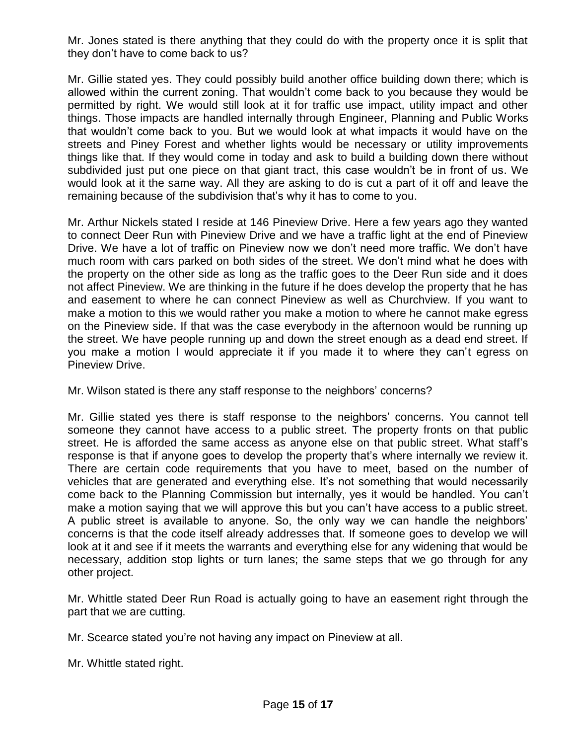Mr. Jones stated is there anything that they could do with the property once it is split that they don't have to come back to us?

Mr. Gillie stated yes. They could possibly build another office building down there; which is allowed within the current zoning. That wouldn't come back to you because they would be permitted by right. We would still look at it for traffic use impact, utility impact and other things. Those impacts are handled internally through Engineer, Planning and Public Works that wouldn't come back to you. But we would look at what impacts it would have on the streets and Piney Forest and whether lights would be necessary or utility improvements things like that. If they would come in today and ask to build a building down there without subdivided just put one piece on that giant tract, this case wouldn't be in front of us. We would look at it the same way. All they are asking to do is cut a part of it off and leave the remaining because of the subdivision that's why it has to come to you.

Mr. Arthur Nickels stated I reside at 146 Pineview Drive. Here a few years ago they wanted to connect Deer Run with Pineview Drive and we have a traffic light at the end of Pineview Drive. We have a lot of traffic on Pineview now we don't need more traffic. We don't have much room with cars parked on both sides of the street. We don't mind what he does with the property on the other side as long as the traffic goes to the Deer Run side and it does not affect Pineview. We are thinking in the future if he does develop the property that he has and easement to where he can connect Pineview as well as Churchview. If you want to make a motion to this we would rather you make a motion to where he cannot make egress on the Pineview side. If that was the case everybody in the afternoon would be running up the street. We have people running up and down the street enough as a dead end street. If you make a motion I would appreciate it if you made it to where they can't egress on Pineview Drive.

Mr. Wilson stated is there any staff response to the neighbors' concerns?

Mr. Gillie stated yes there is staff response to the neighbors' concerns. You cannot tell someone they cannot have access to a public street. The property fronts on that public street. He is afforded the same access as anyone else on that public street. What staff's response is that if anyone goes to develop the property that's where internally we review it. There are certain code requirements that you have to meet, based on the number of vehicles that are generated and everything else. It's not something that would necessarily come back to the Planning Commission but internally, yes it would be handled. You can't make a motion saying that we will approve this but you can't have access to a public street. A public street is available to anyone. So, the only way we can handle the neighbors' concerns is that the code itself already addresses that. If someone goes to develop we will look at it and see if it meets the warrants and everything else for any widening that would be necessary, addition stop lights or turn lanes; the same steps that we go through for any other project.

Mr. Whittle stated Deer Run Road is actually going to have an easement right through the part that we are cutting.

Mr. Scearce stated you're not having any impact on Pineview at all.

Mr. Whittle stated right.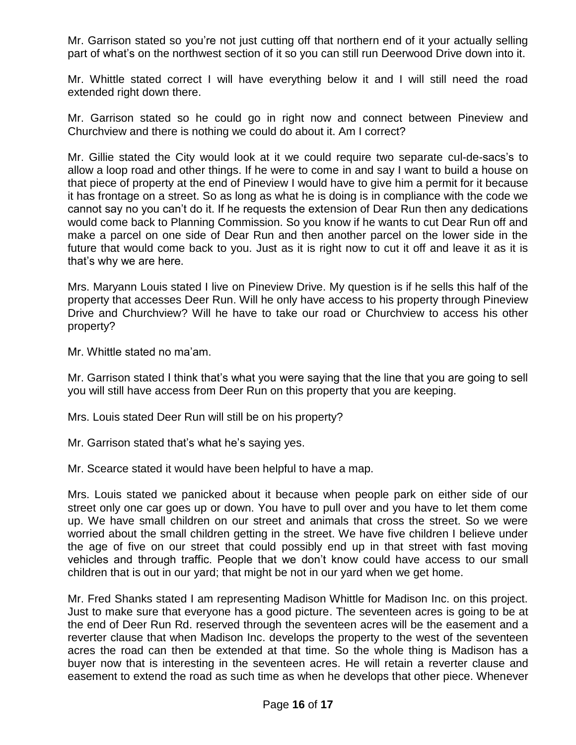Mr. Garrison stated so you're not just cutting off that northern end of it your actually selling part of what's on the northwest section of it so you can still run Deerwood Drive down into it.

Mr. Whittle stated correct I will have everything below it and I will still need the road extended right down there.

Mr. Garrison stated so he could go in right now and connect between Pineview and Churchview and there is nothing we could do about it. Am I correct?

Mr. Gillie stated the City would look at it we could require two separate cul-de-sacs's to allow a loop road and other things. If he were to come in and say I want to build a house on that piece of property at the end of Pineview I would have to give him a permit for it because it has frontage on a street. So as long as what he is doing is in compliance with the code we cannot say no you can't do it. If he requests the extension of Dear Run then any dedications would come back to Planning Commission. So you know if he wants to cut Dear Run off and make a parcel on one side of Dear Run and then another parcel on the lower side in the future that would come back to you. Just as it is right now to cut it off and leave it as it is that's why we are here.

Mrs. Maryann Louis stated I live on Pineview Drive. My question is if he sells this half of the property that accesses Deer Run. Will he only have access to his property through Pineview Drive and Churchview? Will he have to take our road or Churchview to access his other property?

Mr. Whittle stated no ma'am.

Mr. Garrison stated I think that's what you were saying that the line that you are going to sell you will still have access from Deer Run on this property that you are keeping.

Mrs. Louis stated Deer Run will still be on his property?

Mr. Garrison stated that's what he's saying yes.

Mr. Scearce stated it would have been helpful to have a map.

Mrs. Louis stated we panicked about it because when people park on either side of our street only one car goes up or down. You have to pull over and you have to let them come up. We have small children on our street and animals that cross the street. So we were worried about the small children getting in the street. We have five children I believe under the age of five on our street that could possibly end up in that street with fast moving vehicles and through traffic. People that we don't know could have access to our small children that is out in our yard; that might be not in our yard when we get home.

Mr. Fred Shanks stated I am representing Madison Whittle for Madison Inc. on this project. Just to make sure that everyone has a good picture. The seventeen acres is going to be at the end of Deer Run Rd. reserved through the seventeen acres will be the easement and a reverter clause that when Madison Inc. develops the property to the west of the seventeen acres the road can then be extended at that time. So the whole thing is Madison has a buyer now that is interesting in the seventeen acres. He will retain a reverter clause and easement to extend the road as such time as when he develops that other piece. Whenever